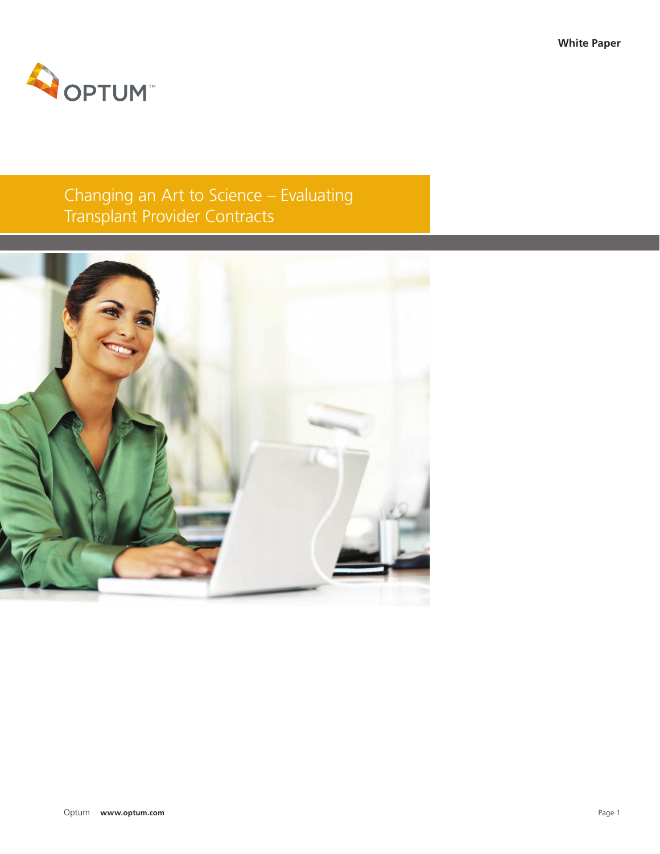

# Changing an Art to Science – Evaluating Transplant Provider Contracts

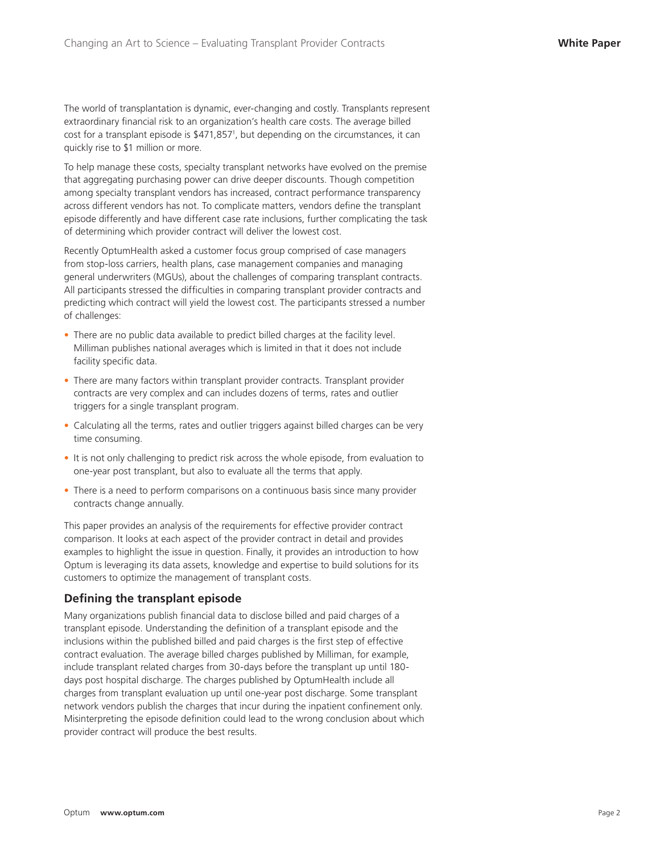The world of transplantation is dynamic, ever-changing and costly. Transplants represent extraordinary financial risk to an organization's health care costs. The average billed cost for a transplant episode is \$471,8571 , but depending on the circumstances, it can quickly rise to \$1 million or more.

To help manage these costs, specialty transplant networks have evolved on the premise that aggregating purchasing power can drive deeper discounts. Though competition among specialty transplant vendors has increased, contract performance transparency across different vendors has not. To complicate matters, vendors define the transplant episode differently and have different case rate inclusions, further complicating the task of determining which provider contract will deliver the lowest cost.

Recently OptumHealth asked a customer focus group comprised of case managers from stop-loss carriers, health plans, case management companies and managing general underwriters (MGUs), about the challenges of comparing transplant contracts. All participants stressed the difficulties in comparing transplant provider contracts and predicting which contract will yield the lowest cost. The participants stressed a number of challenges:

- There are no public data available to predict billed charges at the facility level. Milliman publishes national averages which is limited in that it does not include facility specific data.
- There are many factors within transplant provider contracts. Transplant provider contracts are very complex and can includes dozens of terms, rates and outlier triggers for a single transplant program.
- Calculating all the terms, rates and outlier triggers against billed charges can be very time consuming.
- It is not only challenging to predict risk across the whole episode, from evaluation to one-year post transplant, but also to evaluate all the terms that apply.
- There is a need to perform comparisons on a continuous basis since many provider contracts change annually.

This paper provides an analysis of the requirements for effective provider contract comparison. It looks at each aspect of the provider contract in detail and provides examples to highlight the issue in question. Finally, it provides an introduction to how Optum is leveraging its data assets, knowledge and expertise to build solutions for its customers to optimize the management of transplant costs.

# **Defining the transplant episode**

Many organizations publish financial data to disclose billed and paid charges of a transplant episode. Understanding the definition of a transplant episode and the inclusions within the published billed and paid charges is the first step of effective contract evaluation. The average billed charges published by Milliman, for example, include transplant related charges from 30-days before the transplant up until 180 days post hospital discharge. The charges published by OptumHealth include all charges from transplant evaluation up until one-year post discharge. Some transplant network vendors publish the charges that incur during the inpatient confinement only. Misinterpreting the episode definition could lead to the wrong conclusion about which provider contract will produce the best results.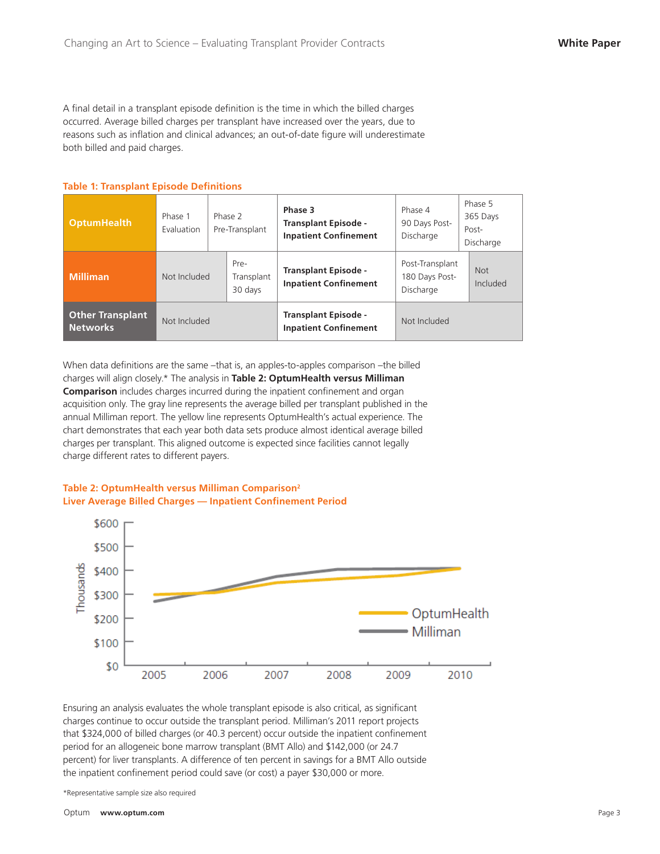A final detail in a transplant episode definition is the time in which the billed charges occurred. Average billed charges per transplant have increased over the years, due to reasons such as inflation and clinical advances; an out-of-date figure will underestimate both billed and paid charges.

#### **Table 1: Transplant Episode Definitions**

| <b>OptumHealth</b>                         | Phase 1<br>Evaluation | Phase 2<br>Pre-Transplant |                               | Phase 3<br><b>Transplant Episode -</b><br><b>Inpatient Confinement</b> | Phase 4<br>90 Days Post-<br>Discharge          | Phase 5<br>365 Days<br>Post-<br>Discharge |
|--------------------------------------------|-----------------------|---------------------------|-------------------------------|------------------------------------------------------------------------|------------------------------------------------|-------------------------------------------|
| <b>Milliman</b>                            | Not Included          |                           | Pre-<br>Transplant<br>30 days | <b>Transplant Episode -</b><br><b>Inpatient Confinement</b>            | Post-Transplant<br>180 Days Post-<br>Discharge | <b>Not</b><br>Included                    |
| <b>Other Transplant</b><br><b>Networks</b> | Not Included          |                           |                               | <b>Transplant Episode -</b><br><b>Inpatient Confinement</b>            | Not Included                                   |                                           |

When data definitions are the same –that is, an apples-to-apples comparison –the billed charges will align closely.\* The analysis in **Table 2: OptumHealth versus Milliman Comparison** includes charges incurred during the inpatient confinement and organ acquisition only. The gray line represents the average billed per transplant published in the annual Milliman report. The yellow line represents OptumHealth's actual experience. The chart demonstrates that each year both data sets produce almost identical average billed charges per transplant. This aligned outcome is expected since facilities cannot legally charge different rates to different payers.

### **Table 2: OptumHealth versus Milliman Comparison2 Liver Average Billed Charges — Inpatient Confinement Period**



Ensuring an analysis evaluates the whole transplant episode is also critical, as significant charges continue to occur outside the transplant period. Milliman's 2011 report projects that \$324,000 of billed charges (or 40.3 percent) occur outside the inpatient confinement period for an allogeneic bone marrow transplant (BMT Allo) and \$142,000 (or 24.7 percent) for liver transplants. A difference of ten percent in savings for a BMT Allo outside the inpatient confinement period could save (or cost) a payer \$30,000 or more.

\*Representative sample size also required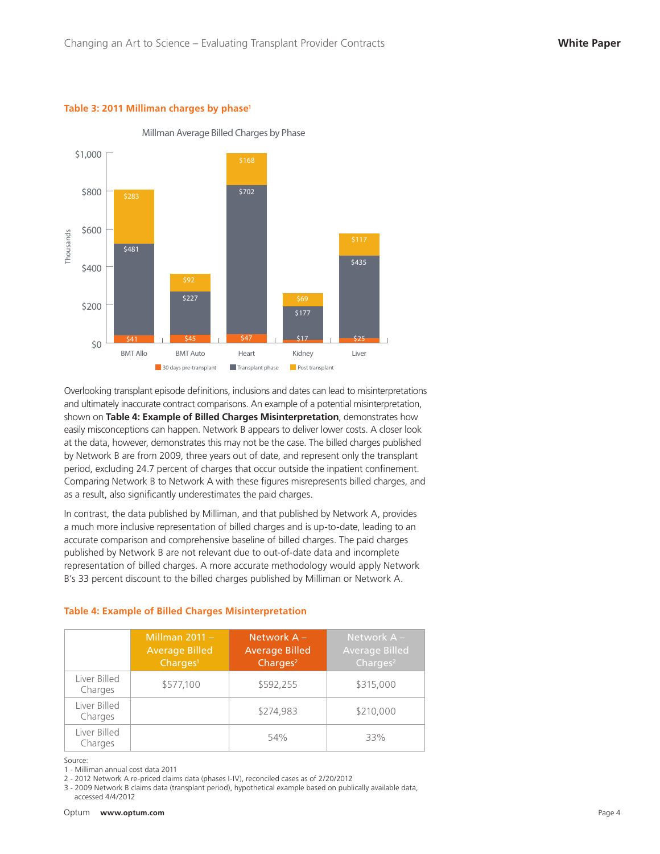#### **Table 3: 2011 Milliman charges by phase1**



#### Millman Average Billed Charges by Phase

Overlooking transplant episode definitions, inclusions and dates can lead to misinterpretations and ultimately inaccurate contract comparisons. An example of a potential misinterpretation, shown on **Table 4: Example of Billed Charges Misinterpretation**, demonstrates how easily misconceptions can happen. Network B appears to deliver lower costs. A closer look at the data, however, demonstrates this may not be the case. The billed charges published by Network B are from 2009, three years out of date, and represent only the transplant period, excluding 24.7 percent of charges that occur outside the inpatient confinement. Comparing Network B to Network A with these figures misrepresents billed charges, and as a result, also significantly underestimates the paid charges.

In contrast, the data published by Milliman, and that published by Network A, provides a much more inclusive representation of billed charges and is up-to-date, leading to an accurate comparison and comprehensive baseline of billed charges. The paid charges published by Network B are not relevant due to out-of-date data and incomplete representation of billed charges. A more accurate methodology would apply Network B's 33 percent discount to the billed charges published by Milliman or Network A.

|  |  |  | Table 4: Example of Billed Charges Misinterpretation |  |
|--|--|--|------------------------------------------------------|--|
|  |  |  |                                                      |  |

|                         | Millman $2011 -$<br><b>Average Billed</b><br>Charges <sup>1</sup> | Network A -<br><b>Average Billed</b><br>Charges <sup>2</sup> | Network $A -$<br><b>Average Billed</b><br>Charges $2$ |
|-------------------------|-------------------------------------------------------------------|--------------------------------------------------------------|-------------------------------------------------------|
| Liver Billed<br>Charges | \$577,100                                                         | \$592.255                                                    | \$315,000                                             |
| Liver Billed<br>Charges |                                                                   | \$274.983                                                    | \$210,000                                             |
| Liver Billed<br>Charges |                                                                   | 54%                                                          | 33%                                                   |

Source:

1 - Milliman annual cost data 2011

2 - 2012 Network A re-priced claims data (phases I-IV), reconciled cases as of 2/20/2012

3 - 2009 Network B claims data (transplant period), hypothetical example based on publically available data, accessed 4/4/2012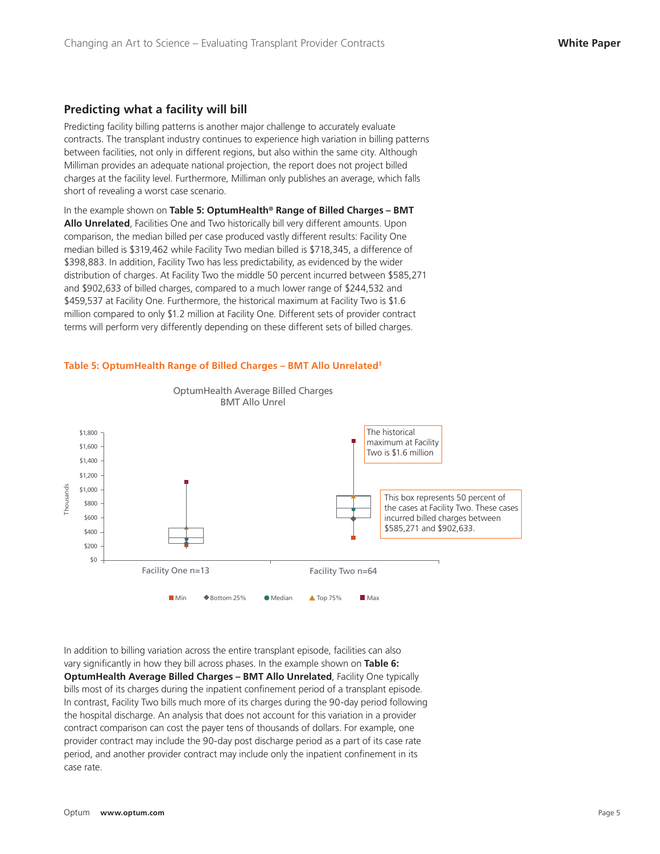# **Predicting what a facility will bill**

Predicting facility billing patterns is another major challenge to accurately evaluate contracts. The transplant industry continues to experience high variation in billing patterns between facilities, not only in different regions, but also within the same city. Although Milliman provides an adequate national projection, the report does not project billed charges at the facility level. Furthermore, Milliman only publishes an average, which falls short of revealing a worst case scenario.

In the example shown on **Table 5: OptumHealth® Range of Billed Charges – BMT Allo Unrelated**, Facilities One and Two historically bill very different amounts. Upon comparison, the median billed per case produced vastly different results: Facility One median billed is \$319,462 while Facility Two median billed is \$718,345, a difference of \$398,883. In addition, Facility Two has less predictability, as evidenced by the wider distribution of charges. At Facility Two the middle 50 percent incurred between \$585,271 and \$902,633 of billed charges, compared to a much lower range of \$244,532 and \$459,537 at Facility One. Furthermore, the historical maximum at Facility Two is \$1.6 million compared to only \$1.2 million at Facility One. Different sets of provider contract terms will perform very differently depending on these different sets of billed charges.

> OptumHealth Average Billed Charges BMT Allo Unrel

#### \$1,800 The historical maximum at Facility \$1,600 Two is \$1.6 million \$1,400 \$1,200 Thousands \$1,000 Thousands This box represents 50 percent of  $$800$ the cases at Facility Two. These cases \$600 incurred billed charges between \$585,271 and \$902,633. \$400 \$200  $$0$ Facility One n=13 Facility Two n=64 ■ Min ◆ Bottom 25% ● Median ▲ Top 75% ■ Max

#### **Table 5: OptumHealth Range of Billed Charges – BMT Allo Unrelated3**

In addition to billing variation across the entire transplant episode, facilities can also vary significantly in how they bill across phases. In the example shown on **Table 6: OptumHealth Average Billed Charges – BMT Allo Unrelated**, Facility One typically bills most of its charges during the inpatient confinement period of a transplant episode. In contrast, Facility Two bills much more of its charges during the 90-day period following the hospital discharge. An analysis that does not account for this variation in a provider contract comparison can cost the payer tens of thousands of dollars. For example, one provider contract may include the 90-day post discharge period as a part of its case rate period, and another provider contract may include only the inpatient confinement in its case rate.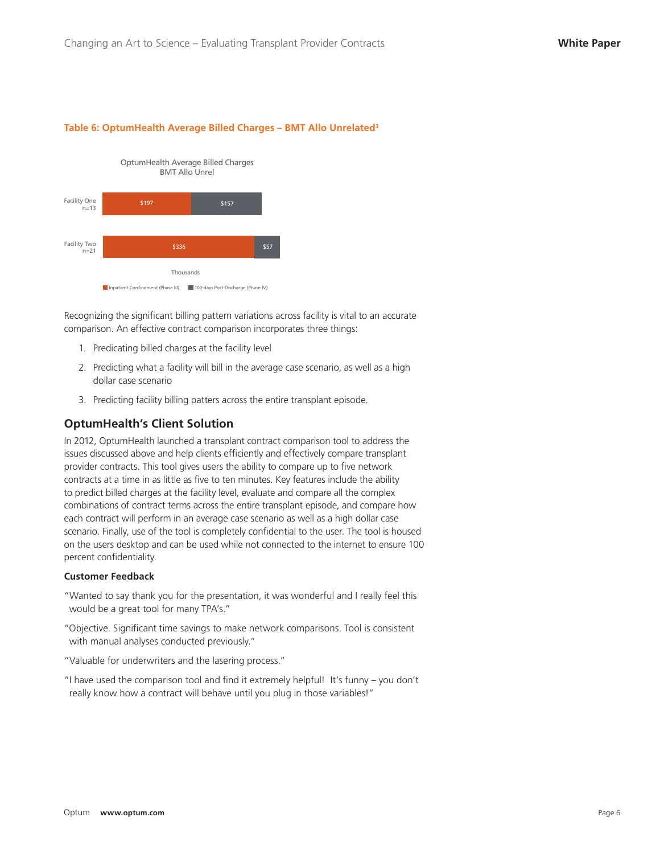#### **Table 6: OptumHealth Average Billed Charges – BMT Allo Unrelated3**



Recognizing the significant billing pattern variations across facility is vital to an accurate comparison. An effective contract comparison incorporates three things:

- 1. Predicating billed charges at the facility level
- 2. Predicting what a facility will bill in the average case scenario, as well as a high dollar case scenario
- 3. Predicting facility billing patters across the entire transplant episode.

#### **OptumHealth's Client Solution**

In 2012, OptumHealth launched a transplant contract comparison tool to address the issues discussed above and help clients efficiently and effectively compare transplant provider contracts. This tool gives users the ability to compare up to five network contracts at a time in as little as five to ten minutes. Key features include the ability to predict billed charges at the facility level, evaluate and compare all the complex combinations of contract terms across the entire transplant episode, and compare how each contract will perform in an average case scenario as well as a high dollar case scenario. Finally, use of the tool is completely confidential to the user. The tool is housed on the users desktop and can be used while not connected to the internet to ensure 100 percent confidentiality.

#### **Customer Feedback**

- "Wanted to say thank you for the presentation, it was wonderful and I really feel this would be a great tool for many TPA's."
- "Objective. Significant time savings to make network comparisons. Tool is consistent with manual analyses conducted previously."
- "Valuable for underwriters and the lasering process."
- "I have used the comparison tool and find it extremely helpful! It's funny you don't really know how a contract will behave until you plug in those variables!"